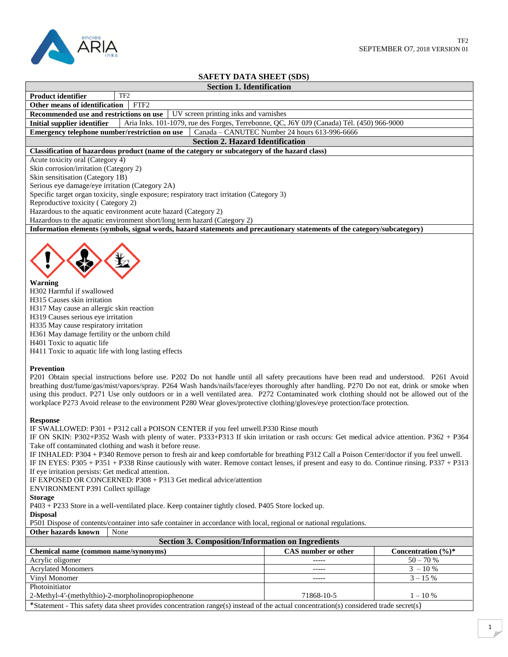

# **SAFETY DATA SHEET (SDS)**

# **Section 1. Identification**

| <b>Product identifier</b>                      | TF2 |  |
|------------------------------------------------|-----|--|
| Other means of identification $\parallel$ FTF2 |     |  |

**Recommended use and restrictions on use** UV screen printing inks and varnishes

**Initial supplier identifier** Aria Inks. 101-1079, rue des Forges, Terrebonne, QC, J6Y 0J9 (Canada) Tél. (450) 966-9000<br>**Emergency telephone number/restriction on use** Canada – CANUTEC Number 24 hours 613-996-6666 **Emergency telephone number/restriction on use** 

# **Section 2. Hazard Identification**

#### **Classification of hazardous product (name of the category or subcategory of the hazard class)**

Acute toxicity oral (Category 4)

Skin corrosion/irritation (Category 2)

Skin sensitisation (Category 1B)

Serious eye damage/eye irritation (Category 2A)

Specific target organ toxicity, single exposure; respiratory tract irritation (Category 3)

Reproductive toxicity ( Category 2)

Hazardous to the aquatic environment acute hazard (Category 2)

Hazardous to the aquatic environment short/long term hazard (Category 2)

**Information elements** (**symbols, signal words, hazard statements and precautionary statements of the category/subcategory)**



## **Warning**

H302 Harmful if swallowed H315 Causes skin irritation H317 May cause an allergic skin reaction H319 Causes serious eye irritation H335 May cause respiratory irritation H361 May damage fertility or the unborn child H401 Toxic to aquatic life H411 Toxic to aquatic life with long lasting effects

## **Prevention**

P201 Obtain special instructions before use. P202 Do not handle until all safety precautions have been read and understood. P261 Avoid breathing dust/fume/gas/mist/vapors/spray. P264 Wash hands/nails/face/eyes thoroughly after handling. P270 Do not eat, drink or smoke when using this product. P271 Use only outdoors or in a well ventilated area. P272 Contaminated work clothing should not be allowed out of the workplace P273 Avoid release to the environment P280 Wear gloves/protective clothing/gloves/eye protection/face protection.

## **Response**

IF SWALLOWED: P301 + P312 call a POISON CENTER if you feel unwell.P330 Rinse mouth

IF ON SKIN: P302+P352 Wash with plenty of water. P333+P313 If skin irritation or rash occurs: Get medical advice attention. P362 + P364 Take off contaminated clothing and wash it before reuse.

IF INHALED: P304 + P340 Remove person to fresh air and keep comfortable for breathing P312 Call a Poison Center/doctor if you feel unwell. IF IN EYES: P305 + P351 + P338 Rinse cautiously with water. Remove contact lenses, if present and easy to do. Continue rinsing. P337 + P313 If eye irritation persists: Get medical attention.

IF EXPOSED OR CONCERNED: P308 + P313 Get medical advice/attention

ENVIRONMENT P391 Collect spillage

## **Storage**

P403 + P233 Store in a well-ventilated place. Keep container tightly closed. P405 Store locked up.

**Disposal**

P501 Dispose of contents/container into safe container in accordance with local, regional or national regulations.

**Other hazards known** None

| <b>Section 3. Composition/Information on Ingredients</b>                                                                              |                     |                        |  |  |
|---------------------------------------------------------------------------------------------------------------------------------------|---------------------|------------------------|--|--|
| Chemical name (common name/synonyms)                                                                                                  | CAS number or other | Concentration $(\%)^*$ |  |  |
| Acrylic oligomer                                                                                                                      | -----               | $50 - 70%$             |  |  |
| <b>Acrylated Monomers</b>                                                                                                             | -----               | $3 - 10\%$             |  |  |
| Vinyl Monomer                                                                                                                         | -----               | $3 - 15\%$             |  |  |
| Photoinitiator                                                                                                                        |                     |                        |  |  |
| 2-Methyl-4'-(methylthio)-2-morpholinopropiophenone                                                                                    | 71868-10-5          | $1 - 10\%$             |  |  |
| *Statement - This safety data sheet provides concentration range(s) instead of the actual concentration(s) considered trade secret(s) |                     |                        |  |  |

Statement - This safety data sheet provides concentration range(s) instead of the actual concentration(s) consider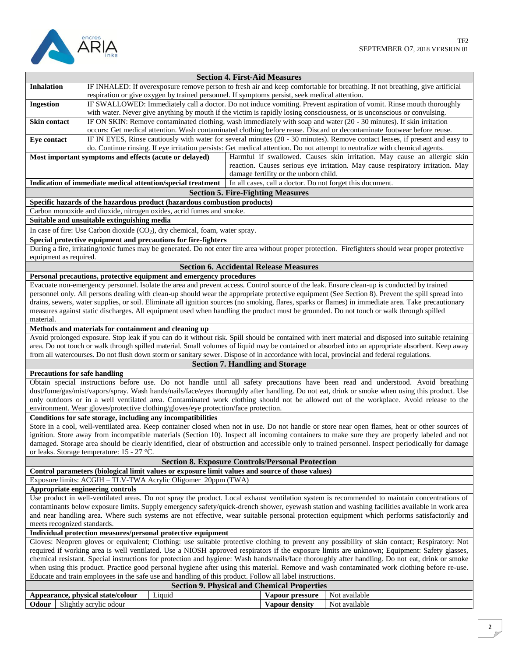

|                                                                                                                                                                                                                                                                                               |                                                                                                                      |                                                                                                          |  | <b>Section 4. First-Aid Measures</b>               |                                                                                                                                                                                                         |
|-----------------------------------------------------------------------------------------------------------------------------------------------------------------------------------------------------------------------------------------------------------------------------------------------|----------------------------------------------------------------------------------------------------------------------|----------------------------------------------------------------------------------------------------------|--|----------------------------------------------------|---------------------------------------------------------------------------------------------------------------------------------------------------------------------------------------------------------|
| <b>Inhalation</b>                                                                                                                                                                                                                                                                             |                                                                                                                      |                                                                                                          |  |                                                    | IF INHALED: If overexposure remove person to fresh air and keep comfortable for breathing. If not breathing, give artificial                                                                            |
|                                                                                                                                                                                                                                                                                               |                                                                                                                      | respiration or give oxygen by trained personnel. If symptoms persist, seek medical attention.            |  |                                                    |                                                                                                                                                                                                         |
| <b>Ingestion</b>                                                                                                                                                                                                                                                                              | IF SWALLOWED: Immediately call a doctor. Do not induce vomiting. Prevent aspiration of vomit. Rinse mouth thoroughly |                                                                                                          |  |                                                    |                                                                                                                                                                                                         |
|                                                                                                                                                                                                                                                                                               |                                                                                                                      |                                                                                                          |  |                                                    | with water. Never give anything by mouth if the victim is rapidly losing consciousness, or is unconscious or convulsing.                                                                                |
| <b>Skin contact</b>                                                                                                                                                                                                                                                                           |                                                                                                                      |                                                                                                          |  |                                                    | IF ON SKIN: Remove contaminated clothing, wash immediately with soap and water (20 - 30 minutes). If skin irritation                                                                                    |
|                                                                                                                                                                                                                                                                                               |                                                                                                                      |                                                                                                          |  |                                                    | occurs: Get medical attention. Wash contaminated clothing before reuse. Discard or decontaminate footwear before reuse.                                                                                 |
| Eye contact                                                                                                                                                                                                                                                                                   |                                                                                                                      |                                                                                                          |  |                                                    | IF IN EYES, Rinse cautiously with water for several minutes (20 - 30 minutes). Remove contact lenses, if present and easy to                                                                            |
|                                                                                                                                                                                                                                                                                               |                                                                                                                      |                                                                                                          |  |                                                    | do. Continue rinsing. If eye irritation persists: Get medical attention. Do not attempt to neutralize with chemical agents.<br>Harmful if swallowed. Causes skin irritation. May cause an allergic skin |
|                                                                                                                                                                                                                                                                                               | Most important symptoms and effects (acute or delayed)                                                               |                                                                                                          |  |                                                    | reaction. Causes serious eye irritation. May cause respiratory irritation. May                                                                                                                          |
|                                                                                                                                                                                                                                                                                               |                                                                                                                      |                                                                                                          |  | damage fertility or the unborn child.              |                                                                                                                                                                                                         |
|                                                                                                                                                                                                                                                                                               |                                                                                                                      | Indication of immediate medical attention/special treatment                                              |  |                                                    | In all cases, call a doctor. Do not forget this document.                                                                                                                                               |
|                                                                                                                                                                                                                                                                                               |                                                                                                                      |                                                                                                          |  | <b>Section 5. Fire-Fighting Measures</b>           |                                                                                                                                                                                                         |
|                                                                                                                                                                                                                                                                                               |                                                                                                                      | Specific hazards of the hazardous product (hazardous combustion products)                                |  |                                                    |                                                                                                                                                                                                         |
|                                                                                                                                                                                                                                                                                               |                                                                                                                      | Carbon monoxide and dioxide, nitrogen oxides, acrid fumes and smoke.                                     |  |                                                    |                                                                                                                                                                                                         |
|                                                                                                                                                                                                                                                                                               | Suitable and unsuitable extinguishing media                                                                          |                                                                                                          |  |                                                    |                                                                                                                                                                                                         |
|                                                                                                                                                                                                                                                                                               |                                                                                                                      | In case of fire: Use Carbon dioxide (CO <sub>2</sub> ), dry chemical, foam, water spray.                 |  |                                                    |                                                                                                                                                                                                         |
|                                                                                                                                                                                                                                                                                               |                                                                                                                      | Special protective equipment and precautions for fire-fighters                                           |  |                                                    |                                                                                                                                                                                                         |
|                                                                                                                                                                                                                                                                                               |                                                                                                                      |                                                                                                          |  |                                                    | During a fire, irritating/toxic fumes may be generated. Do not enter fire area without proper protection. Firefighters should wear proper protective                                                    |
| equipment as required.                                                                                                                                                                                                                                                                        |                                                                                                                      |                                                                                                          |  |                                                    |                                                                                                                                                                                                         |
|                                                                                                                                                                                                                                                                                               |                                                                                                                      |                                                                                                          |  | <b>Section 6. Accidental Release Measures</b>      |                                                                                                                                                                                                         |
|                                                                                                                                                                                                                                                                                               |                                                                                                                      | Personal precautions, protective equipment and emergency procedures                                      |  |                                                    |                                                                                                                                                                                                         |
|                                                                                                                                                                                                                                                                                               |                                                                                                                      |                                                                                                          |  |                                                    | Evacuate non-emergency personnel. Isolate the area and prevent access. Control source of the leak. Ensure clean-up is conducted by trained                                                              |
|                                                                                                                                                                                                                                                                                               |                                                                                                                      |                                                                                                          |  |                                                    | personnel only. All persons dealing with clean-up should wear the appropriate protective equipment (See Section 8). Prevent the spill spread into                                                       |
|                                                                                                                                                                                                                                                                                               |                                                                                                                      |                                                                                                          |  |                                                    | drains, sewers, water supplies, or soil. Eliminate all ignition sources (no smoking, flares, sparks or flames) in immediate area. Take precautionary                                                    |
|                                                                                                                                                                                                                                                                                               |                                                                                                                      |                                                                                                          |  |                                                    | measures against static discharges. All equipment used when handling the product must be grounded. Do not touch or walk through spilled                                                                 |
| material.                                                                                                                                                                                                                                                                                     |                                                                                                                      |                                                                                                          |  |                                                    |                                                                                                                                                                                                         |
|                                                                                                                                                                                                                                                                                               | Methods and materials for containment and cleaning up                                                                |                                                                                                          |  |                                                    |                                                                                                                                                                                                         |
|                                                                                                                                                                                                                                                                                               |                                                                                                                      |                                                                                                          |  |                                                    | Avoid prolonged exposure. Stop leak if you can do it without risk. Spill should be contained with inert material and disposed into suitable retaining                                                   |
|                                                                                                                                                                                                                                                                                               |                                                                                                                      |                                                                                                          |  |                                                    | area. Do not touch or walk through spilled material. Small volumes of liquid may be contained or absorbed into an appropriate absorbent. Keep away                                                      |
|                                                                                                                                                                                                                                                                                               |                                                                                                                      |                                                                                                          |  |                                                    | from all watercourses. Do not flush down storm or sanitary sewer. Dispose of in accordance with local, provincial and federal regulations.                                                              |
|                                                                                                                                                                                                                                                                                               |                                                                                                                      |                                                                                                          |  | <b>Section 7. Handling and Storage</b>             |                                                                                                                                                                                                         |
| <b>Precautions for safe handling</b>                                                                                                                                                                                                                                                          |                                                                                                                      |                                                                                                          |  |                                                    |                                                                                                                                                                                                         |
|                                                                                                                                                                                                                                                                                               |                                                                                                                      |                                                                                                          |  |                                                    | Obtain special instructions before use. Do not handle until all safety precautions have been read and understood. Avoid breathing                                                                       |
|                                                                                                                                                                                                                                                                                               |                                                                                                                      |                                                                                                          |  |                                                    | dust/fume/gas/mist/vapors/spray. Wash hands/nails/face/eyes thoroughly after handling. Do not eat, drink or smoke when using this product. Use                                                          |
|                                                                                                                                                                                                                                                                                               |                                                                                                                      |                                                                                                          |  |                                                    | only outdoors or in a well ventilated area. Contaminated work clothing should not be allowed out of the workplace. Avoid release to the                                                                 |
|                                                                                                                                                                                                                                                                                               |                                                                                                                      | environment. Wear gloves/protective clothing/gloves/eye protection/face protection.                      |  |                                                    |                                                                                                                                                                                                         |
|                                                                                                                                                                                                                                                                                               |                                                                                                                      | Conditions for safe storage, including any incompatibilities                                             |  |                                                    |                                                                                                                                                                                                         |
|                                                                                                                                                                                                                                                                                               |                                                                                                                      |                                                                                                          |  |                                                    | Store in a cool, well-ventilated area. Keep container closed when not in use. Do not handle or store near open flames, heat or other sources of                                                         |
|                                                                                                                                                                                                                                                                                               |                                                                                                                      |                                                                                                          |  |                                                    | ignition. Store away from incompatible materials (Section 10). Inspect all incoming containers to make sure they are properly labeled and not                                                           |
|                                                                                                                                                                                                                                                                                               |                                                                                                                      |                                                                                                          |  |                                                    | damaged. Storage area should be clearly identified, clear of obstruction and accessible only to trained personnel. Inspect periodically for damage                                                      |
| or leaks. Storage temperature: 15 - 27 °C.<br><b>Section 8. Exposure Controls/Personal Protection</b>                                                                                                                                                                                         |                                                                                                                      |                                                                                                          |  |                                                    |                                                                                                                                                                                                         |
|                                                                                                                                                                                                                                                                                               |                                                                                                                      | Control parameters (biological limit values or exposure limit values and source of those values)         |  |                                                    |                                                                                                                                                                                                         |
|                                                                                                                                                                                                                                                                                               |                                                                                                                      | Exposure limits: ACGIH - TLV-TWA Acrylic Oligomer 20ppm (TWA)                                            |  |                                                    |                                                                                                                                                                                                         |
|                                                                                                                                                                                                                                                                                               | Appropriate engineering controls                                                                                     |                                                                                                          |  |                                                    |                                                                                                                                                                                                         |
|                                                                                                                                                                                                                                                                                               |                                                                                                                      |                                                                                                          |  |                                                    | Use product in well-ventilated areas. Do not spray the product. Local exhaust ventilation system is recommended to maintain concentrations of                                                           |
|                                                                                                                                                                                                                                                                                               |                                                                                                                      |                                                                                                          |  |                                                    |                                                                                                                                                                                                         |
| contaminants below exposure limits. Supply emergency safety/quick-drench shower, eyewash station and washing facilities available in work area<br>and near handling area. Where such systems are not effective, wear suitable personal protection equipment which performs satisfactorily and |                                                                                                                      |                                                                                                          |  |                                                    |                                                                                                                                                                                                         |
| meets recognized standards.                                                                                                                                                                                                                                                                   |                                                                                                                      |                                                                                                          |  |                                                    |                                                                                                                                                                                                         |
| Individual protection measures/personal protective equipment                                                                                                                                                                                                                                  |                                                                                                                      |                                                                                                          |  |                                                    |                                                                                                                                                                                                         |
| Gloves: Neopren gloves or equivalent; Clothing: use suitable protective clothing to prevent any possibility of skin contact; Respiratory: Not                                                                                                                                                 |                                                                                                                      |                                                                                                          |  |                                                    |                                                                                                                                                                                                         |
|                                                                                                                                                                                                                                                                                               |                                                                                                                      |                                                                                                          |  |                                                    | required if working area is well ventilated. Use a NIOSH approved respirators if the exposure limits are unknown; Equipment: Safety glasses,                                                            |
|                                                                                                                                                                                                                                                                                               |                                                                                                                      |                                                                                                          |  |                                                    | chemical resistant. Special instructions for protection and hygiene: Wash hands/nails/face thoroughly after handling. Do not eat, drink or smoke                                                        |
|                                                                                                                                                                                                                                                                                               |                                                                                                                      |                                                                                                          |  |                                                    | when using this product. Practice good personal hygiene after using this material. Remove and wash contaminated work clothing before re-use.                                                            |
|                                                                                                                                                                                                                                                                                               |                                                                                                                      | Educate and train employees in the safe use and handling of this product. Follow all label instructions. |  |                                                    |                                                                                                                                                                                                         |
|                                                                                                                                                                                                                                                                                               |                                                                                                                      |                                                                                                          |  | <b>Section 9. Physical and Chemical Properties</b> |                                                                                                                                                                                                         |
|                                                                                                                                                                                                                                                                                               | Appearance, physical state/colour                                                                                    | Liquid                                                                                                   |  | Vapour pressure                                    | Not available                                                                                                                                                                                           |
| Odour                                                                                                                                                                                                                                                                                         | Slightly acrylic odour                                                                                               |                                                                                                          |  | Vapour density                                     | Not available                                                                                                                                                                                           |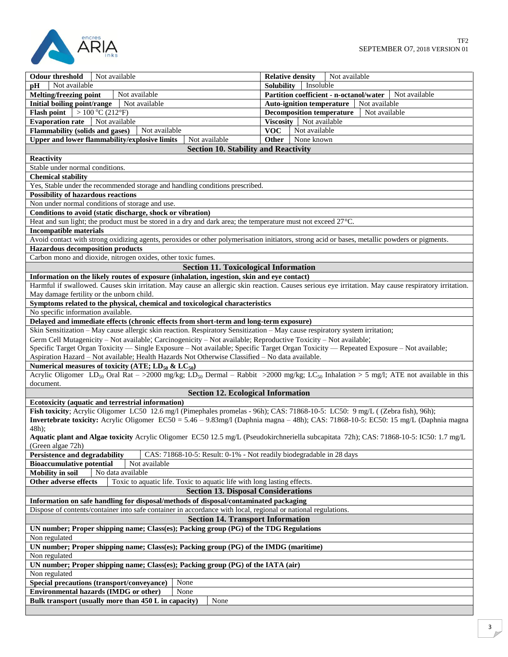

 $\mathsf{l}$ 

| Not available<br><b>Odour threshold</b>                                                                                                                                | Not available<br><b>Relative density</b>                 |  |
|------------------------------------------------------------------------------------------------------------------------------------------------------------------------|----------------------------------------------------------|--|
| Not available<br>pН                                                                                                                                                    | <b>Solubility</b><br>Insoluble                           |  |
| <b>Melting/freezing point</b><br>Not available                                                                                                                         | Partition coefficient - n-octanol/water<br>Not available |  |
| Initial boiling point/range<br>Not available                                                                                                                           | Auto-ignition temperature   Not available                |  |
| Flash point $>100\degree$ C (212°F)                                                                                                                                    | <b>Decomposition temperature</b><br>Not available        |  |
| Evaporation rate Not available                                                                                                                                         | Viscosity Not available                                  |  |
| <b>Flammability (solids and gases)</b><br>Not available                                                                                                                | <b>VOC</b><br>Not available                              |  |
|                                                                                                                                                                        |                                                          |  |
| Upper and lower flammability/explosive limits<br>Not available                                                                                                         | <b>Other</b><br>None known                               |  |
| <b>Section 10. Stability and Reactivity</b>                                                                                                                            |                                                          |  |
| <b>Reactivity</b>                                                                                                                                                      |                                                          |  |
| Stable under normal conditions.                                                                                                                                        |                                                          |  |
| <b>Chemical stability</b>                                                                                                                                              |                                                          |  |
| Yes, Stable under the recommended storage and handling conditions prescribed.                                                                                          |                                                          |  |
| <b>Possibility of hazardous reactions</b>                                                                                                                              |                                                          |  |
| Non under normal conditions of storage and use.                                                                                                                        |                                                          |  |
| Conditions to avoid (static discharge, shock or vibration)                                                                                                             |                                                          |  |
| Heat and sun light; the product must be stored in a dry and dark area; the temperature must not exceed 27°C.                                                           |                                                          |  |
| <b>Incompatible materials</b>                                                                                                                                          |                                                          |  |
| Avoid contact with strong oxidizing agents, peroxides or other polymerisation initiators, strong acid or bases, metallic powders or pigments.                          |                                                          |  |
| <b>Hazardous decomposition products</b>                                                                                                                                |                                                          |  |
| Carbon mono and dioxide, nitrogen oxides, other toxic fumes.                                                                                                           |                                                          |  |
| <b>Section 11. Toxicological Information</b>                                                                                                                           |                                                          |  |
| Information on the likely routes of exposure (inhalation, ingestion, skin and eye contact)                                                                             |                                                          |  |
|                                                                                                                                                                        |                                                          |  |
| Harmful if swallowed. Causes skin irritation. May cause an allergic skin reaction. Causes serious eye irritation. May cause respiratory irritation.                    |                                                          |  |
| May damage fertility or the unborn child.                                                                                                                              |                                                          |  |
| Symptoms related to the physical, chemical and toxicological characteristics                                                                                           |                                                          |  |
| No specific information available.                                                                                                                                     |                                                          |  |
| Delayed and immediate effects (chronic effects from short-term and long-term exposure)                                                                                 |                                                          |  |
| Skin Sensitization - May cause allergic skin reaction. Respiratory Sensitization - May cause respiratory system irritation;                                            |                                                          |  |
| Germ Cell Mutagenicity - Not available; Carcinogenicity - Not available; Reproductive Toxicity - Not available;                                                        |                                                          |  |
| Specific Target Organ Toxicity — Single Exposure - Not available; Specific Target Organ Toxicity — Repeated Exposure - Not available;                                  |                                                          |  |
| Aspiration Hazard - Not available; Health Hazards Not Otherwise Classified - No data available.                                                                        |                                                          |  |
| Numerical measures of toxicity (ATE; $LD_{50}$ & $LC_{50}$ )                                                                                                           |                                                          |  |
| Acrylic Oligomer LD <sub>50</sub> Oral Rat ->2000 mg/kg; LD <sub>50</sub> Dermal - Rabbit >2000 mg/kg; LC <sub>50</sub> Inhalation > 5 mg/l; ATE not available in this |                                                          |  |
| document.                                                                                                                                                              |                                                          |  |
| <b>Section 12. Ecological Information</b>                                                                                                                              |                                                          |  |
| Ecotoxicity (aquatic and terrestrial information)                                                                                                                      |                                                          |  |
| Fish toxicity; Acrylic Oligomer LC50 12.6 mg/l (Pimephales promelas - 96h); CAS: 71868-10-5: LC50: 9 mg/L ((Zebra fish), 96h);                                         |                                                          |  |
| Invertebrate toxicity: Acrylic Oligomer EC50 = 5.46 - 9.83mg/l (Daphnia magna - 48h); CAS: 71868-10-5: EC50: 15 mg/L (Daphnia magna                                    |                                                          |  |
| 48h);                                                                                                                                                                  |                                                          |  |
| Aquatic plant and Algae toxicity Acrylic Oligomer EC50 12.5 mg/L (Pseudokirchneriella subcapitata 72h); CAS: 71868-10-5: IC50: 1.7 mg/L                                |                                                          |  |
| (Green algae 72h)                                                                                                                                                      |                                                          |  |
| <b>Persistence and degradability</b><br>CAS: 71868-10-5: Result: 0-1% - Not readily biodegradable in 28 days                                                           |                                                          |  |
| <b>Bioaccumulative potential</b><br>Not available                                                                                                                      |                                                          |  |
| <b>Mobility</b> in soil<br>No data available                                                                                                                           |                                                          |  |
| Other adverse effects<br>Toxic to aquatic life. Toxic to aquatic life with long lasting effects.                                                                       |                                                          |  |
|                                                                                                                                                                        |                                                          |  |
| <b>Section 13. Disposal Considerations</b>                                                                                                                             |                                                          |  |
| Information on safe handling for disposal/methods of disposal/contaminated packaging                                                                                   |                                                          |  |
| Dispose of contents/container into safe container in accordance with local, regional or national regulations.                                                          |                                                          |  |
| <b>Section 14. Transport Information</b>                                                                                                                               |                                                          |  |
| UN number; Proper shipping name; Class(es); Packing group (PG) of the TDG Regulations                                                                                  |                                                          |  |
| Non regulated                                                                                                                                                          |                                                          |  |
| UN number; Proper shipping name; Class(es); Packing group (PG) of the IMDG (maritime)                                                                                  |                                                          |  |
| Non regulated                                                                                                                                                          |                                                          |  |
| UN number; Proper shipping name; Class(es); Packing group (PG) of the IATA (air)                                                                                       |                                                          |  |
| Non regulated                                                                                                                                                          |                                                          |  |
| None<br>Special precautions (transport/conveyance)                                                                                                                     |                                                          |  |
| <b>Environmental hazards (IMDG or other)</b><br>None                                                                                                                   |                                                          |  |
| None<br>Bulk transport (usually more than 450 L in capacity)                                                                                                           |                                                          |  |
|                                                                                                                                                                        |                                                          |  |